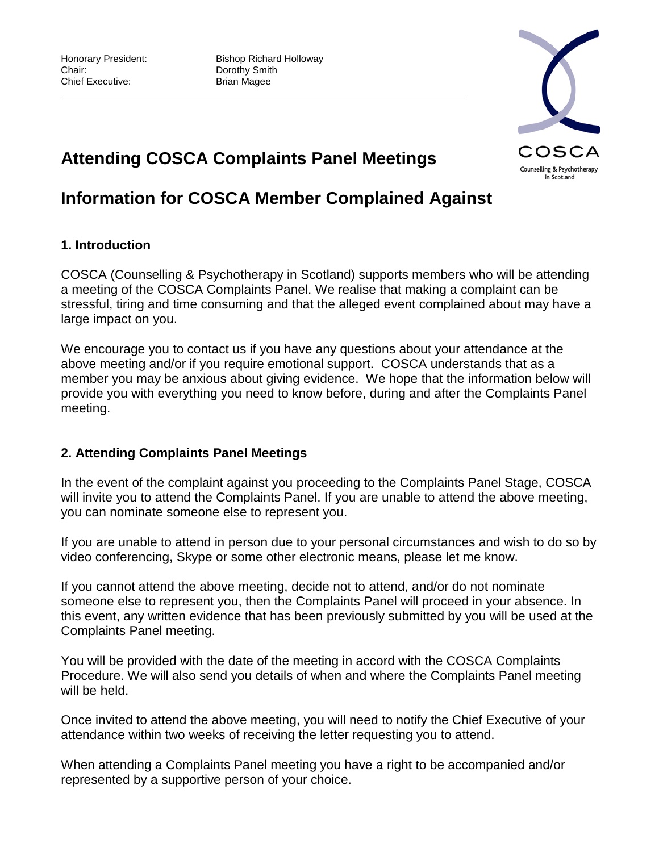Honorary President: Bishop Richard Holloway<br>
Chair: Chair: Dorothy Smith Dorothy Smith

# **Attending COSCA Complaints Panel Meetings**

## **Information for COSCA Member Complained Against**

## **1. Introduction**

COSCA (Counselling & Psychotherapy in Scotland) supports members who will be attending a meeting of the COSCA Complaints Panel. We realise that making a complaint can be stressful, tiring and time consuming and that the alleged event complained about may have a large impact on you.

We encourage you to contact us if you have any questions about your attendance at the above meeting and/or if you require emotional support. COSCA understands that as a member you may be anxious about giving evidence. We hope that the information below will provide you with everything you need to know before, during and after the Complaints Panel meeting.

#### **2. Attending Complaints Panel Meetings**

In the event of the complaint against you proceeding to the Complaints Panel Stage, COSCA will invite you to attend the Complaints Panel. If you are unable to attend the above meeting, you can nominate someone else to represent you.

If you are unable to attend in person due to your personal circumstances and wish to do so by video conferencing, Skype or some other electronic means, please let me know.

If you cannot attend the above meeting, decide not to attend, and/or do not nominate someone else to represent you, then the Complaints Panel will proceed in your absence. In this event, any written evidence that has been previously submitted by you will be used at the Complaints Panel meeting.

You will be provided with the date of the meeting in accord with the COSCA Complaints Procedure. We will also send you details of when and where the Complaints Panel meeting will be held.

Once invited to attend the above meeting, you will need to notify the Chief Executive of your attendance within two weeks of receiving the letter requesting you to attend.

When attending a Complaints Panel meeting you have a right to be accompanied and/or represented by a supportive person of your choice.